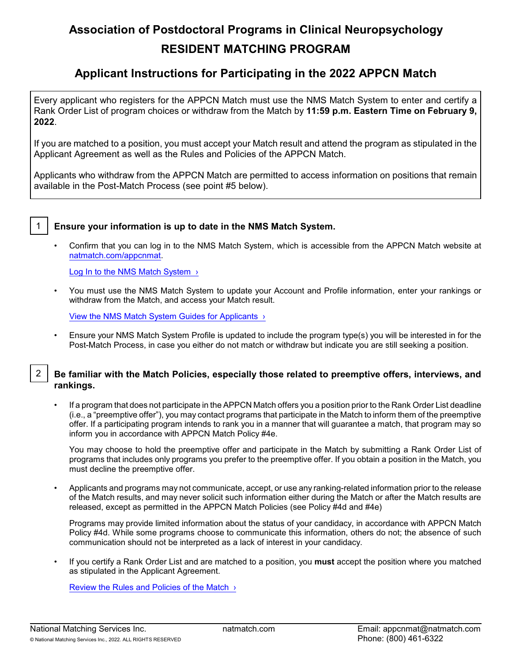# **Association of Postdoctoral Programs in Clinical Neuropsychology RESIDENT MATCHING PROGRAM**

# **Applicant Instructions for Participating in the 2022 APPCN Match**

Every applicant who registers for the APPCN Match must use the NMS Match System to enter and certify a Rank Order List of program choices or withdraw from the Match by **11:59 p.m. Eastern Time on February 9, 2022**.

If you are matched to a position, you must accept your Match result and attend the program as stipulated in the Applicant Agreement as well as the Rules and Policies of the APPCN Match.

Applicants who withdraw from the APPCN Match are permitted to access information on positions that remain available in the Post-Match Process (see point #5 below).



# 1 **Ensure your information is up to date in the NMS Match System.**

• Confirm that you can log in to the NMS Match System, which is accessible from the APPCN Match website at [natmatch.com/appcnmat](https://natmatch.com/appcnmat).

Log In to the NMS Match System >

• You must use the NMS Match System to update your Account and Profile information, enter your rankings or withdraw from the Match, and access your Match result.

[View the NMS Match System Guides for Applicants ›](https://natmatch.com/appcnmat/help/app-landing.html#guides)

• Ensure your NMS Match System Profile is updated to include the program type(s) you will be interested in for the Post-Match Process, in case you either do not match or withdraw but indicate you are still seeking a position.

# 2 **Be familiar with the Match Policies, especially those related to preemptive offers, interviews, and rankings.**

If a program that does not participate in the APPCN Match offers you a position prior to the Rank Order List deadline (i.e., a "preemptive offer"), you may contact programs that participate in the Match to inform them of the preemptive offer. If a participating program intends to rank you in a manner that will guarantee a match, that program may so inform you in accordance with APPCN Match Policy #4e.

You may choose to hold the preemptive offer and participate in the Match by submitting a Rank Order List of programs that includes only programs you prefer to the preemptive offer. If you obtain a position in the Match, you must decline the preemptive offer.

• Applicants and programs may not communicate, accept, or use any ranking-related information prior to the release of the Match results, and may never solicit such information either during the Match or after the Match results are released, except as permitted in the APPCN Match Policies (see Policy #4d and #4e)

Programs may provide limited information about the status of your candidacy, in accordance with APPCN Match Policy #4d. While some programs choose to communicate this information, others do not; the absence of such communication should not be interpreted as a lack of interest in your candidacy.

• If you certify a Rank Order List and are matched to a position, you **must** accept the position where you matched as stipulated in the Applicant Agreement.

Review the Rules and Policies of the Match  $\rightarrow$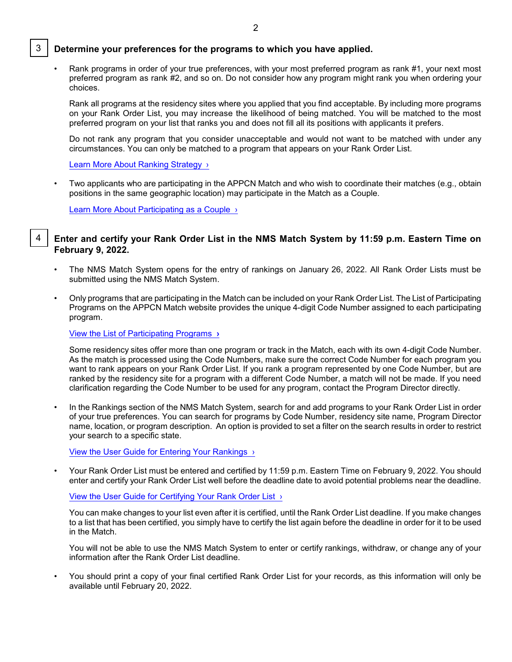#### 3 **Determine your preferences for the programs to which you have applied.**

• Rank programs in order of your true preferences, with your most preferred program as rank #1, your next most preferred program as rank #2, and so on. Do not consider how any program might rank you when ordering your choices.

Rank all programs at the residency sites where you applied that you find acceptable. By including more programs on your Rank Order List, you may increase the likelihood of being matched. You will be matched to the most preferred program on your list that ranks you and does not fill all its positions with applicants it prefers.

Do not rank any program that you consider unacceptable and would not want to be matched with under any circumstances. You can only be matched to a program that appears on your Rank Order List.

Learn More About Ranking Strategy >

• Two applicants who are participating in the APPCN Match and who wish to coordinate their matches (e.g., obtain positions in the same geographic location) may participate in the Match as a Couple.

[Learn More About Participating as a Couple ›](https://natmatch.com/appcnmat/applicants/couples.html)

#### 4 **Enter and certify your Rank Order List in the NMS Match System by 11:59 p.m. Eastern Time on February 9, 2022.**

- The NMS Match System opens for the entry of rankings on January 26, 2022. All Rank Order Lists must be submitted using the NMS Match System.
- Only programs that are participating in the Match can be included on your Rank Order List. The List of Participating Programs on the APPCN Match website provides the unique 4-digit Code Number assigned to each participating program.

[View the List of Participating Programs](https://natmatch.com/appcnmat/directory/participating-programs.html) **›**

Some residency sites offer more than one program or track in the Match, each with its own 4-digit Code Number. As the match is processed using the Code Numbers, make sure the correct Code Number for each program you want to rank appears on your Rank Order List. If you rank a program represented by one Code Number, but are ranked by the residency site for a program with a different Code Number, a match will not be made. If you need clarification regarding the Code Number to be used for any program, contact the Program Director directly.

• In the Rankings section of the NMS Match System, search for and add programs to your Rank Order List in order of your true preferences. You can search for programs by Code Number, residency site name, Program Director name, location, or program description. An option is provided to set a filter on the search results in order to restrict your search to a specific state.

[View the User Guide for Entering Your Rankings ›](https://natmatch.com/appcnmat/applicants/rankings-guide.html#enter)

• Your Rank Order List must be entered and certified by 11:59 p.m. Eastern Time on February 9, 2022. You should enter and certify your Rank Order List well before the deadline date to avoid potential problems near the deadline.

[View the User Guide for Certifying Your Rank](https://natmatch.com/appcnmat/applicants/rankings-guide.html#certify) Order List ›

You can make changes to your list even after it is certified, until the Rank Order List deadline. If you make changes to a list that has been certified, you simply have to certify the list again before the deadline in order for it to be used in the Match.

You will not be able to use the NMS Match System to enter or certify rankings, withdraw, or change any of your information after the Rank Order List deadline.

• You should print a copy of your final certified Rank Order List for your records, as this information will only be available until February 20, 2022.